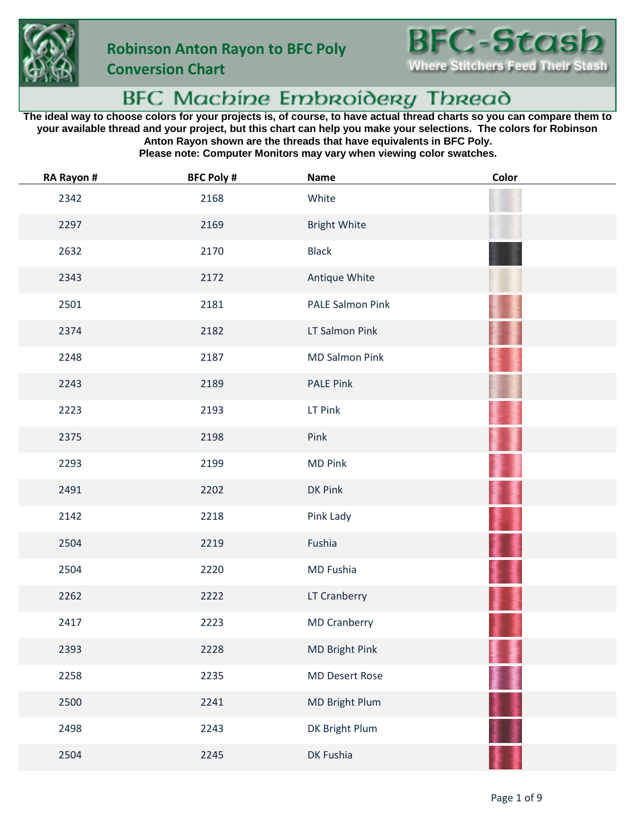

**Conversion Chart**



## BFC Machine Embroidery Thread

**The ideal way to choose colors for your projects is, of course, to have actual thread charts so you can compare them to your available thread and your project, but this chart can help you make your selections. The colors for Robinson Anton Rayon shown are the threads that have equivalents in BFC Poly.**

**Please note: Computer Monitors may vary when viewing color swatches.**

| RA Rayon # | <b>BFC Poly #</b> | <b>Name</b>           | Color |
|------------|-------------------|-----------------------|-------|
| 2342       | 2168              | White                 |       |
| 2297       | 2169              | <b>Bright White</b>   |       |
| 2632       | 2170              | <b>Black</b>          |       |
| 2343       | 2172              | Antique White         |       |
| 2501       | 2181              | PALE Salmon Pink      |       |
| 2374       | 2182              | LT Salmon Pink        |       |
| 2248       | 2187              | <b>MD Salmon Pink</b> |       |
| 2243       | 2189              | <b>PALE Pink</b>      |       |
| 2223       | 2193              | LT Pink               |       |
| 2375       | 2198              | Pink                  |       |
| 2293       | 2199              | <b>MD Pink</b>        |       |
| 2491       | 2202              | DK Pink               |       |
| 2142       | 2218              | Pink Lady             |       |
| 2504       | 2219              | Fushia                |       |
| 2504       | 2220              | MD Fushia             |       |
| 2262       | 2222              | LT Cranberry          |       |
| 2417       | 2223              | <b>MD Cranberry</b>   |       |
| 2393       | 2228              | MD Bright Pink        |       |
| 2258       | 2235              | <b>MD Desert Rose</b> |       |
| 2500       | 2241              | MD Bright Plum        |       |
| 2498       | 2243              | DK Bright Plum        |       |
| 2504       | 2245              | DK Fushia             |       |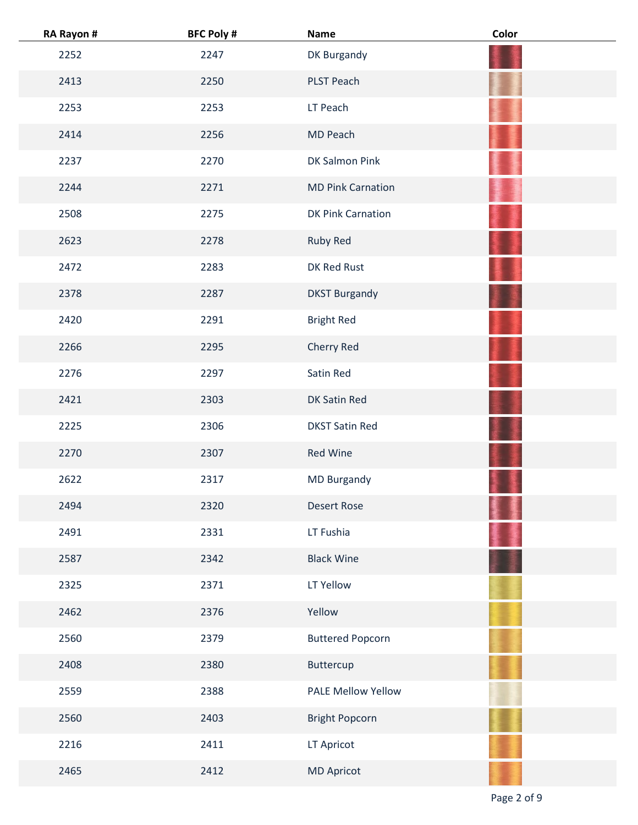| RA Rayon # | <b>BFC Poly #</b> | <b>Name</b>               | Color |
|------------|-------------------|---------------------------|-------|
| 2252       | 2247              | DK Burgandy               |       |
| 2413       | 2250              | PLST Peach                |       |
| 2253       | 2253              | LT Peach                  |       |
| 2414       | 2256              | MD Peach                  |       |
| 2237       | 2270              | DK Salmon Pink            |       |
| 2244       | 2271              | <b>MD Pink Carnation</b>  |       |
| 2508       | 2275              | DK Pink Carnation         |       |
| 2623       | 2278              | Ruby Red                  |       |
| 2472       | 2283              | DK Red Rust               |       |
| 2378       | 2287              | <b>DKST Burgandy</b>      |       |
| 2420       | 2291              | <b>Bright Red</b>         |       |
| 2266       | 2295              | Cherry Red                |       |
| 2276       | 2297              | Satin Red                 |       |
| 2421       | 2303              | DK Satin Red              |       |
| 2225       | 2306              | <b>DKST Satin Red</b>     |       |
| 2270       | 2307              | Red Wine                  |       |
| 2622       | 2317              | <b>MD Burgandy</b>        |       |
| 2494       | 2320              | <b>Desert Rose</b>        |       |
| 2491       | 2331              | LT Fushia                 |       |
| 2587       | 2342              | <b>Black Wine</b>         |       |
| 2325       | 2371              | LT Yellow                 |       |
| 2462       | 2376              | Yellow                    |       |
| 2560       | 2379              | <b>Buttered Popcorn</b>   |       |
| 2408       | 2380              | Buttercup                 |       |
| 2559       | 2388              | <b>PALE Mellow Yellow</b> |       |
| 2560       | 2403              | <b>Bright Popcorn</b>     |       |
| 2216       | 2411              | LT Apricot                |       |
| 2465       | 2412              | <b>MD Apricot</b>         |       |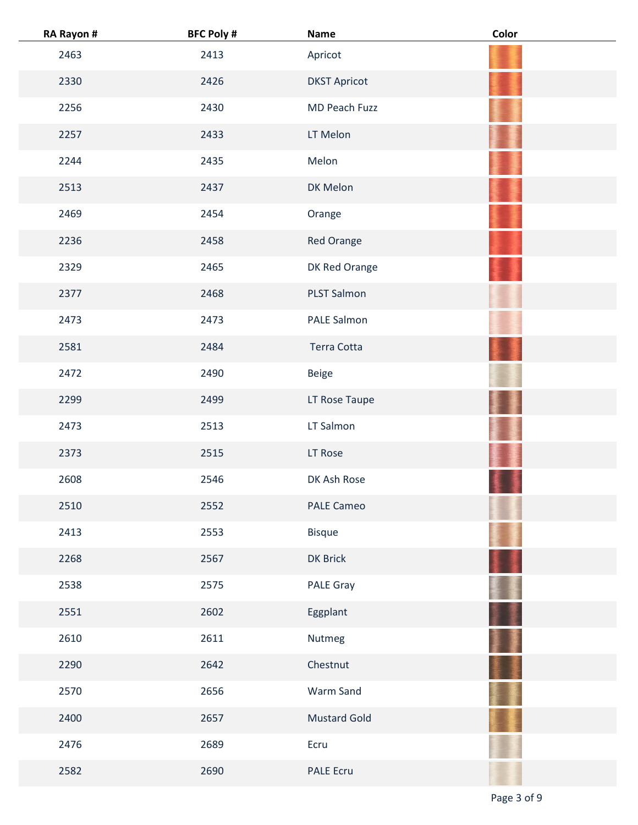| RA Rayon # | <b>BFC Poly #</b> | <b>Name</b>         | Color |
|------------|-------------------|---------------------|-------|
| 2463       | 2413              | Apricot             |       |
| 2330       | 2426              | <b>DKST Apricot</b> |       |
| 2256       | 2430              | MD Peach Fuzz       |       |
| 2257       | 2433              | LT Melon            |       |
| 2244       | 2435              | Melon               |       |
| 2513       | 2437              | DK Melon            |       |
| 2469       | 2454              | Orange              |       |
| 2236       | 2458              | Red Orange          |       |
| 2329       | 2465              | DK Red Orange       |       |
| 2377       | 2468              | <b>PLST Salmon</b>  |       |
| 2473       | 2473              | PALE Salmon         |       |
| 2581       | 2484              | Terra Cotta         |       |
| 2472       | 2490              | Beige               |       |
| 2299       | 2499              | LT Rose Taupe       |       |
| 2473       | 2513              | LT Salmon           |       |
| 2373       | 2515              | LT Rose             |       |
| 2608       | 2546              | DK Ash Rose         |       |
| 2510       | 2552              | <b>PALE Cameo</b>   |       |
| 2413       | 2553              | Bisque              |       |
| 2268       | 2567              | DK Brick            |       |
| 2538       | 2575              | <b>PALE Gray</b>    |       |
| 2551       | 2602              | Eggplant            |       |
| 2610       | 2611              | Nutmeg              |       |
| 2290       | 2642              | Chestnut            |       |
| 2570       | 2656              | Warm Sand           |       |
| 2400       | 2657              | <b>Mustard Gold</b> |       |
| 2476       | 2689              | Ecru                |       |
| 2582       | 2690              | <b>PALE Ecru</b>    |       |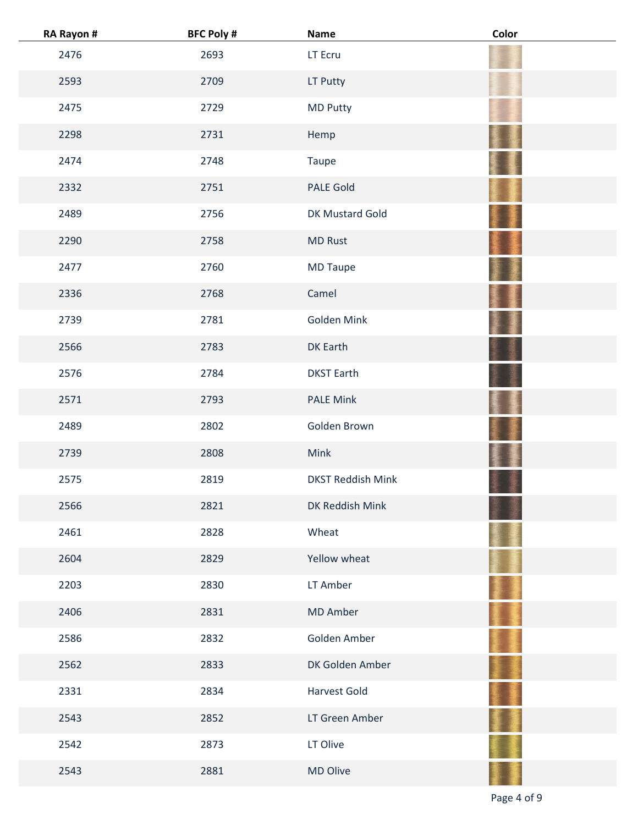| RA Rayon # | <b>BFC Poly #</b> | Name                     | Color |
|------------|-------------------|--------------------------|-------|
| 2476       | 2693              | LT Ecru                  |       |
| 2593       | 2709              | LT Putty                 |       |
| 2475       | 2729              | <b>MD Putty</b>          |       |
| 2298       | 2731              | Hemp                     |       |
| 2474       | 2748              | Taupe                    |       |
| 2332       | 2751              | PALE Gold                |       |
| 2489       | 2756              | DK Mustard Gold          |       |
| 2290       | 2758              | <b>MD Rust</b>           |       |
| 2477       | 2760              | <b>MD Taupe</b>          |       |
| 2336       | 2768              | Camel                    |       |
| 2739       | 2781              | Golden Mink              |       |
| 2566       | 2783              | DK Earth                 |       |
| 2576       | 2784              | <b>DKST Earth</b>        |       |
| 2571       | 2793              | <b>PALE Mink</b>         |       |
| 2489       | 2802              | Golden Brown             |       |
| 2739       | 2808              | Mink                     |       |
| 2575       | 2819              | <b>DKST Reddish Mink</b> |       |
| 2566       | 2821              | DK Reddish Mink          |       |
| 2461       | 2828              | Wheat                    |       |
| 2604       | 2829              | Yellow wheat             |       |
| 2203       | 2830              | LT Amber                 |       |
| 2406       | 2831              | <b>MD Amber</b>          |       |
| 2586       | 2832              | Golden Amber             |       |
| 2562       | 2833              | DK Golden Amber          |       |
| 2331       | 2834              | <b>Harvest Gold</b>      |       |
| 2543       | 2852              | LT Green Amber           |       |
| 2542       | 2873              | LT Olive                 |       |
| 2543       | 2881              | MD Olive                 |       |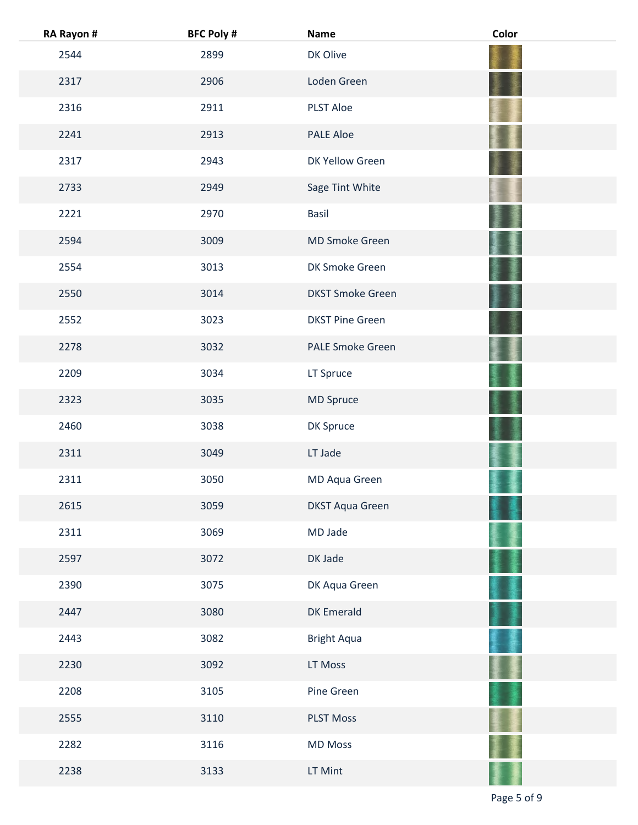| RA Rayon # | <b>BFC Poly #</b> | <b>Name</b>             | Color |
|------------|-------------------|-------------------------|-------|
| 2544       | 2899              | DK Olive                |       |
| 2317       | 2906              | Loden Green             |       |
| 2316       | 2911              | <b>PLST Aloe</b>        |       |
| 2241       | 2913              | <b>PALE Aloe</b>        |       |
| 2317       | 2943              | DK Yellow Green         |       |
| 2733       | 2949              | Sage Tint White         |       |
| 2221       | 2970              | <b>Basil</b>            |       |
| 2594       | 3009              | <b>MD Smoke Green</b>   |       |
| 2554       | 3013              | DK Smoke Green          |       |
| 2550       | 3014              | <b>DKST Smoke Green</b> |       |
| 2552       | 3023              | <b>DKST Pine Green</b>  |       |
| 2278       | 3032              | <b>PALE Smoke Green</b> |       |
| 2209       | 3034              | LT Spruce               |       |
| 2323       | 3035              | MD Spruce               |       |
| 2460       | 3038              | DK Spruce               |       |
| 2311       | 3049              | LT Jade                 |       |
| 2311       | 3050              | MD Aqua Green           |       |
| 2615       | 3059              | <b>DKST Aqua Green</b>  |       |
| 2311       | 3069              | MD Jade                 |       |
| 2597       | 3072              | DK Jade                 |       |
| 2390       | 3075              | DK Aqua Green           |       |
| 2447       | 3080              | <b>DK Emerald</b>       |       |
| 2443       | 3082              | <b>Bright Aqua</b>      |       |
| 2230       | 3092              | LT Moss                 |       |
| 2208       | 3105              | Pine Green              |       |
| 2555       | 3110              | <b>PLST Moss</b>        |       |
| 2282       | 3116              | <b>MD Moss</b>          |       |
| 2238       | 3133              | LT Mint                 |       |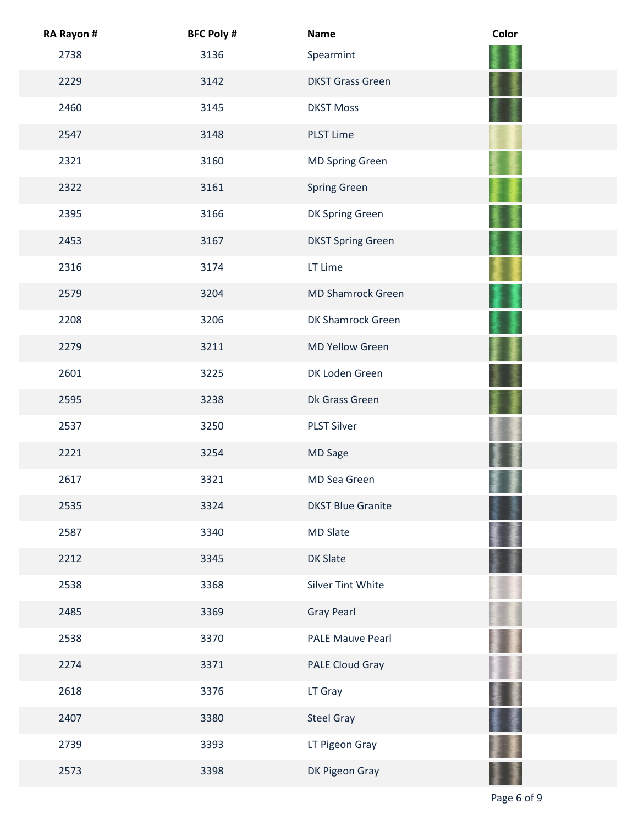| RA Rayon # | <b>BFC Poly #</b> | <b>Name</b>              | Color |
|------------|-------------------|--------------------------|-------|
| 2738       | 3136              | Spearmint                |       |
| 2229       | 3142              | <b>DKST Grass Green</b>  |       |
| 2460       | 3145              | <b>DKST Moss</b>         |       |
| 2547       | 3148              | <b>PLST Lime</b>         |       |
| 2321       | 3160              | <b>MD Spring Green</b>   |       |
| 2322       | 3161              | <b>Spring Green</b>      |       |
| 2395       | 3166              | DK Spring Green          |       |
| 2453       | 3167              | <b>DKST Spring Green</b> |       |
| 2316       | 3174              | LT Lime                  |       |
| 2579       | 3204              | <b>MD Shamrock Green</b> |       |
| 2208       | 3206              | DK Shamrock Green        |       |
| 2279       | 3211              | <b>MD Yellow Green</b>   |       |
| 2601       | 3225              | DK Loden Green           |       |
| 2595       | 3238              | Dk Grass Green           |       |
| 2537       | 3250              | <b>PLST Silver</b>       |       |
| 2221       | 3254              | MD Sage                  |       |
| 2617       | 3321              | MD Sea Green             |       |
| 2535       | 3324              | <b>DKST Blue Granite</b> |       |
| 2587       | 3340              | <b>MD Slate</b>          |       |
| 2212       | 3345              | <b>DK Slate</b>          |       |
| 2538       | 3368              | Silver Tint White        |       |
| 2485       | 3369              | <b>Gray Pearl</b>        |       |
| 2538       | 3370              | PALE Mauve Pearl         |       |
| 2274       | 3371              | PALE Cloud Gray          |       |
| 2618       | 3376              | LT Gray                  |       |
| 2407       | 3380              | <b>Steel Gray</b>        |       |
| 2739       | 3393              | LT Pigeon Gray           |       |
| 2573       | 3398              | DK Pigeon Gray           |       |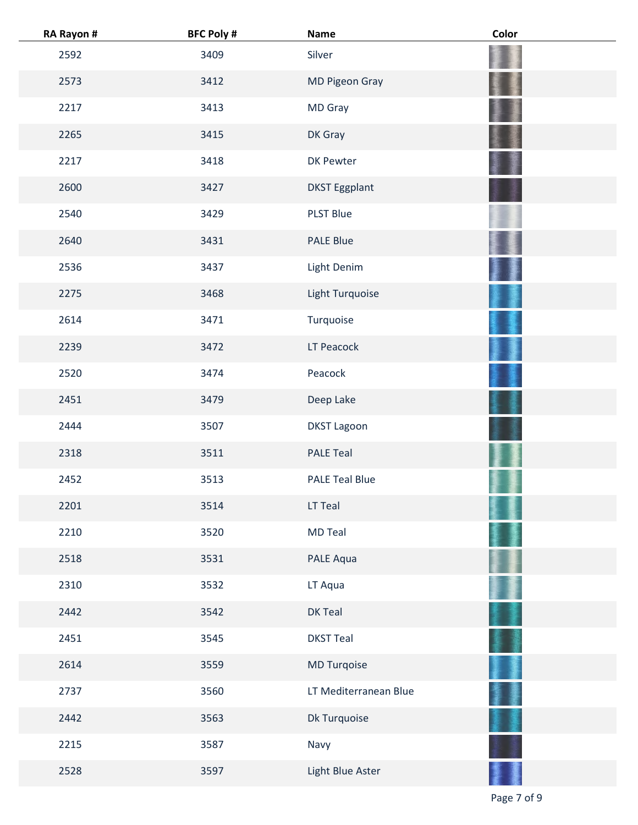| RA Rayon # | <b>BFC Poly #</b> | <b>Name</b>           | Color |
|------------|-------------------|-----------------------|-------|
| 2592       | 3409              | Silver                |       |
| 2573       | 3412              | MD Pigeon Gray        |       |
| 2217       | 3413              | MD Gray               |       |
| 2265       | 3415              | DK Gray               |       |
| 2217       | 3418              | DK Pewter             |       |
| 2600       | 3427              | <b>DKST Eggplant</b>  |       |
| 2540       | 3429              | <b>PLST Blue</b>      |       |
| 2640       | 3431              | <b>PALE Blue</b>      |       |
| 2536       | 3437              | Light Denim           |       |
| 2275       | 3468              | Light Turquoise       |       |
| 2614       | 3471              | Turquoise             |       |
| 2239       | 3472              | LT Peacock            |       |
| 2520       | 3474              | Peacock               |       |
| 2451       | 3479              | Deep Lake             |       |
| 2444       | 3507              | <b>DKST Lagoon</b>    |       |
| 2318       | 3511              | <b>PALE Teal</b>      |       |
| 2452       | 3513              | <b>PALE Teal Blue</b> |       |
| 2201       | 3514              | LT Teal               |       |
| 2210       | 3520              | <b>MD Teal</b>        |       |
| 2518       | 3531              | PALE Aqua             |       |
| 2310       | 3532              | LT Aqua               |       |
| 2442       | 3542              | DK Teal               |       |
| 2451       | 3545              | <b>DKST Teal</b>      |       |
| 2614       | 3559              | MD Turqoise           |       |
| 2737       | 3560              | LT Mediterranean Blue |       |
| 2442       | 3563              | Dk Turquoise          |       |
| 2215       | 3587              | Navy                  |       |
| 2528       | 3597              | Light Blue Aster      |       |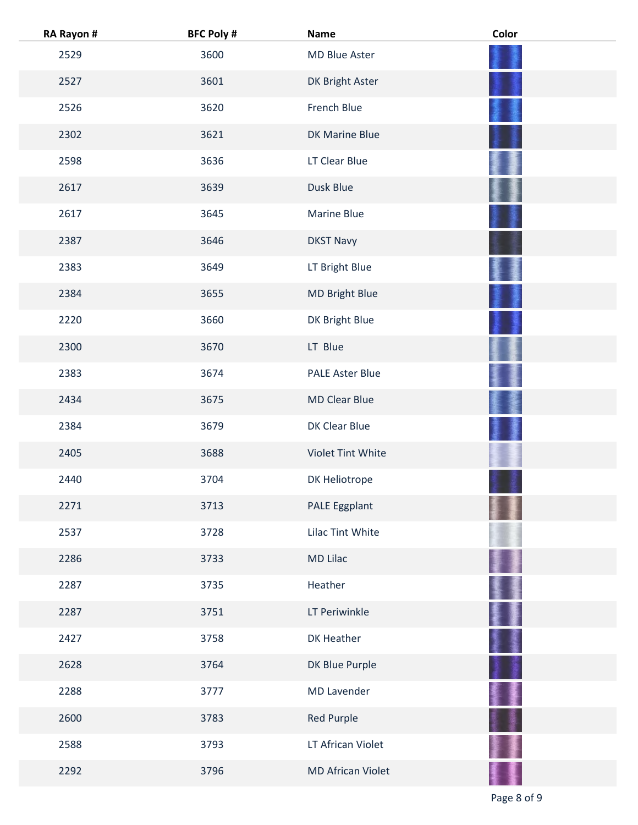| RA Rayon # | <b>BFC Poly #</b> | Name                     | Color |
|------------|-------------------|--------------------------|-------|
| 2529       | 3600              | MD Blue Aster            |       |
| 2527       | 3601              | DK Bright Aster          |       |
| 2526       | 3620              | French Blue              |       |
| 2302       | 3621              | DK Marine Blue           |       |
| 2598       | 3636              | LT Clear Blue            |       |
| 2617       | 3639              | Dusk Blue                |       |
| 2617       | 3645              | <b>Marine Blue</b>       |       |
| 2387       | 3646              | <b>DKST Navy</b>         |       |
| 2383       | 3649              | LT Bright Blue           |       |
| 2384       | 3655              | MD Bright Blue           |       |
| 2220       | 3660              | DK Bright Blue           |       |
| 2300       | 3670              | LT Blue                  |       |
| 2383       | 3674              | <b>PALE Aster Blue</b>   |       |
| 2434       | 3675              | <b>MD Clear Blue</b>     |       |
| 2384       | 3679              | DK Clear Blue            |       |
| 2405       | 3688              | Violet Tint White        |       |
| 2440       | 3704              | DK Heliotrope            |       |
| 2271       | 3713              | PALE Eggplant            |       |
| 2537       | 3728              | Lilac Tint White         |       |
| 2286       | 3733              | <b>MD Lilac</b>          |       |
| 2287       | 3735              | Heather                  |       |
| 2287       | 3751              | LT Periwinkle            |       |
| 2427       | 3758              | DK Heather               |       |
| 2628       | 3764              | DK Blue Purple           |       |
| 2288       | 3777              | <b>MD Lavender</b>       |       |
| 2600       | 3783              | Red Purple               |       |
| 2588       | 3793              | LT African Violet        |       |
| 2292       | 3796              | <b>MD African Violet</b> |       |